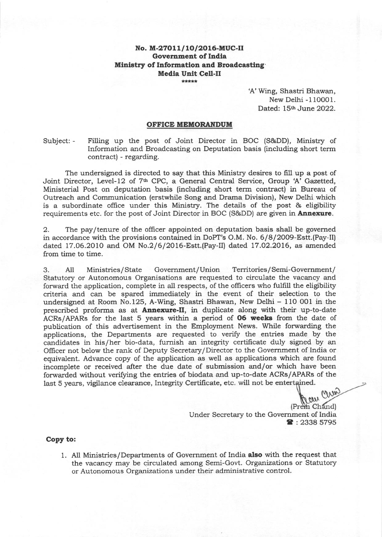## No. M-27011/10/2016-MUC-II Goverament of Indla Ministry of Information and Broadcasting Media Unit Cell-il

'A' Wing, Shastri Bhawan, New Delhi -110001. Dated: 15th June 2022.

#### OFFICE MEMORANDUM

Subject: - Filling up the post of Joint Director in BOC (S&DD), Ministry of Information and Broadcasting on Deputation basis (including short term contract) - regarding.

The undersigned is directed to say that this Ministry desires to fill up a post of Joint Director, Level-12 of 7<sup>th</sup> CPC, a General Central Service, Group 'A' Gazetted, Ministerial Post on deputation basis (including short term contract) in Bureau of Outreach and Communication (erstwhile Song and Drama Division), New Delhi which is a subordinate office under this Ministry. The details of the post & eligibility requirements etc. for the post of Joint Director in BOC (S&DD) are given in **Annexure**.

2. The pay/tenure of the officer appointed on deputation basis shall be governed in accordance with the provisions contained in DoPT's O.M. No. 6/8/2OO9-Estt.(Pay-II) dated 17.06.2OIO and OM No.2/6/2O16-Estt.(Pay-II) dated 17.O2.2OL6, as amended from time to time.

3. A11 Ministries/State Government/Union Territories/Semi-Government/ Statutory or Autonomous Organisations are requested to circulate the vacancy and forward the application, complete in all respects, of the officers who fulfill the eligibility criteria and can be spared immediately in the event of their selection to the undersigned at Room No.125, A-Wing, Shastri Bhawan, New Delhi - 110 001 in the prescribed proforma as at Annexure-Il, in duplicate along with their up-to-date ACRs/APARs for the last 5 years within a period of 06 weeks from the date of publication of this advertisement in the Employment News. While forwarding the applications, the Departrnents are requested to verify the entries made by the candidates in his/her bio-data, furnish an integrity certificate duly signed by an Oflicer not below the rank of Deputy Secretary/Director to the Government of India or equivalent. Advance copy of the application as well as applications which are found incomplete or received after the due date of submission and/or which have been forwarded without verifying the entries of biodata and up-to-date ACRs/APARs of the

Jan China (Prem Chand) Under Secretary to the Government of India  $\bullet$  : 2338 5795

Copy to:

1. All Ministries/Departments of Government of India also with the request that the vacancy may be circulated among Semi-Govt. Organizations or Statutory or Autonomous Organizalions under their administrative control.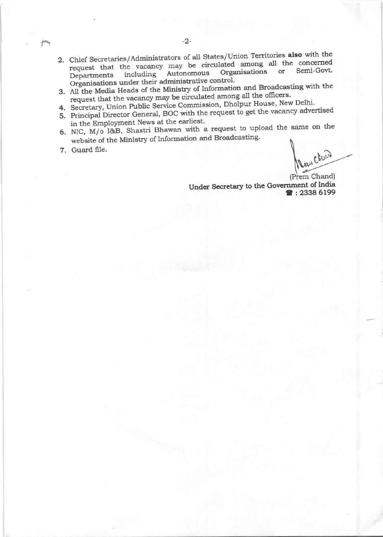- 2. Chief Secretaries/Administrators of all States/Union Territories also with the request that the vacancy may be circulated among all the concerned Semi-Govt. Organisations or Autonomous including Departments Organisations under their administrative control.
- 3. All the Media Heads of the Ministry of Information and Broadcasting with the request that the vacancy may be circulated among all the officers.
- 4. Secretary, Union Public Service Commission, Dholpur House, New Delhi.
- 5. Principal Director General, BOC with the request to get the vacancy advertised in the Employment News at the earliest.
- 6. NIC,  $M/\overline{o}$  I&B, Shastri Bhawan with a request to upload the same on the website of the Ministry of Information and Broadcasting.
- 7. Guard file.

Reau Clubs (Prem Chand)

■:2338 6199

Under Secretary to the Government of India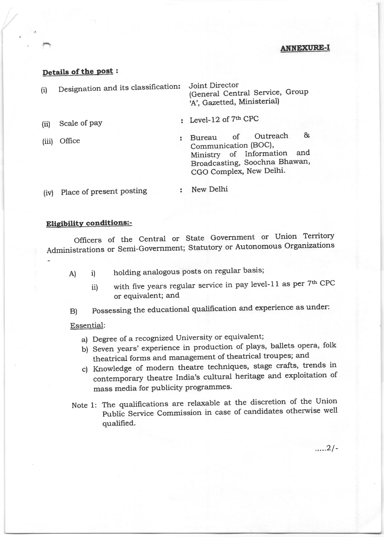### ANNEXURE-I

## Details of the post:

| (i)  | Designation and its classification: | Joint Director<br>(General Central Service, Group<br>'A', Gazetted, Ministerial) |
|------|-------------------------------------|----------------------------------------------------------------------------------|
| (ii) | Scale of pay                        | : Level-12 of $7th$ CPC                                                          |
|      |                                     |                                                                                  |

(iiil Office

Bureau of Outreach & Communication (BOC), Ministry of Information and Broadcasting, Soochna Bhawan, CGO Complex, New Delhi.

(iv) Place of present posting New Delhi

## Eligibility conditions:-

Officers of the Central or State Government or Union Territory Administrations or Semi-Government; Statutory or Autonomous Organizations

- A) i) holding analogous posts on regular basis;
	- ii) with five years regular service in pay level-11 as per  $7<sup>th</sup>$  CPC or equivalent; and
- B) Possessing the educational qualification and experience as under:

#### Essential:

- a) Degree of a recognized University or equivalent;
- b) Seven years' experience in production of plays, ballets opera, folk theatrical forms and management of theatrical troupes; and
- c) Knowledge of modern theatre techniques, stage crafts, trends in contemporary theatre India's cultural heritage and exploitation of mass media for publicity programmes.
- Note 1: The qualifications are relaxable at the discretion of the Union Public Service Commission in case of candidates otherwise well qualified.

 $....2/-$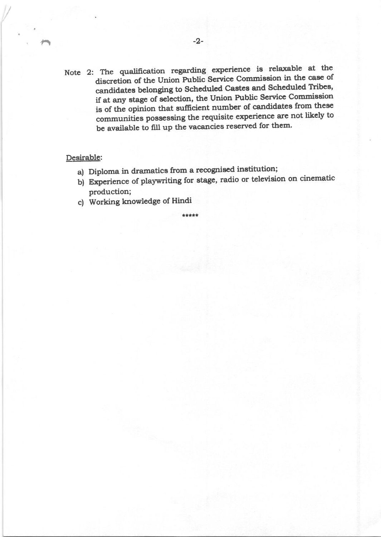Note 2: The qualification regarding experience is relaxable at the discretion of the Union Public Service Commission in the case of candidates belonging to Scheduled Castes and Scheduled Tribes, if at any stage of selection, the Union Public Service Commission is of the opinion that sufficient number of candidates from these communities possessing the requisite experience are not likely to be available to fill up the vacancies reserved for them.

## Desirable:

- a) Diploma in dramatics from a recognised institution;
- b) Experience of playwriting for stage, radio or television on cinematic production;
- c) Working knowledge of Hindi

tt!t\*t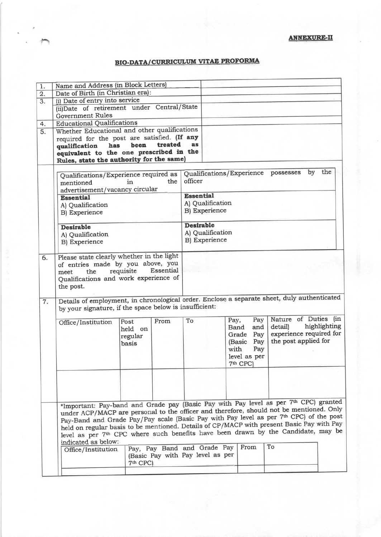# **BIO-DATA/CURRICULUM VITAE PROFORMA**

| 1.                                                 | Name and Address (in Block Letters)                                                                                                                                                        |                                                                                      |                                  |                                                  |                  |                      |                         |              |  |
|----------------------------------------------------|--------------------------------------------------------------------------------------------------------------------------------------------------------------------------------------------|--------------------------------------------------------------------------------------|----------------------------------|--------------------------------------------------|------------------|----------------------|-------------------------|--------------|--|
| $\overline{2}$ .                                   | Date of Birth (in Christian era):                                                                                                                                                          |                                                                                      |                                  |                                                  |                  |                      |                         |              |  |
| $\overline{3}$ .                                   | (i) Date of entry into service                                                                                                                                                             |                                                                                      |                                  |                                                  |                  |                      |                         |              |  |
|                                                    | (ii)Date of retirement under Central/State                                                                                                                                                 |                                                                                      |                                  |                                                  |                  |                      |                         |              |  |
|                                                    | <b>Government Rules</b>                                                                                                                                                                    |                                                                                      |                                  |                                                  |                  |                      |                         |              |  |
| 4.                                                 | <b>Educational Qualifications</b>                                                                                                                                                          |                                                                                      |                                  |                                                  |                  |                      |                         |              |  |
| Whether Educational and other qualifications<br>5. |                                                                                                                                                                                            |                                                                                      |                                  |                                                  |                  |                      |                         |              |  |
|                                                    | required for the post are satisfied. (If any                                                                                                                                               |                                                                                      |                                  |                                                  |                  |                      |                         |              |  |
|                                                    | has<br>qualification                                                                                                                                                                       | been                                                                                 | treated                          | <b>as</b>                                        |                  |                      |                         |              |  |
|                                                    | equivalent to the one prescribed in the                                                                                                                                                    |                                                                                      |                                  |                                                  |                  |                      |                         |              |  |
|                                                    | Rules, state the authority for the same)                                                                                                                                                   |                                                                                      |                                  |                                                  |                  |                      |                         |              |  |
|                                                    |                                                                                                                                                                                            |                                                                                      |                                  |                                                  |                  |                      |                         |              |  |
|                                                    | Qualifications/Experience required as                                                                                                                                                      |                                                                                      |                                  | the<br>by<br>Qualifications/Experience possesses |                  |                      |                         |              |  |
|                                                    | the<br>mentioned<br>in                                                                                                                                                                     |                                                                                      |                                  | officer                                          |                  |                      |                         |              |  |
|                                                    | advertisement/vacancy circular                                                                                                                                                             |                                                                                      |                                  |                                                  |                  |                      |                         |              |  |
|                                                    | <b>Essential</b>                                                                                                                                                                           |                                                                                      |                                  | <b>Essential</b>                                 |                  |                      |                         |              |  |
|                                                    | A) Qualification                                                                                                                                                                           |                                                                                      |                                  | A) Qualification                                 |                  |                      |                         |              |  |
|                                                    | <b>B)</b> Experience                                                                                                                                                                       |                                                                                      |                                  | <b>B)</b> Experience                             |                  |                      |                         |              |  |
|                                                    |                                                                                                                                                                                            |                                                                                      |                                  |                                                  |                  |                      |                         |              |  |
|                                                    | <b>Desirable</b>                                                                                                                                                                           |                                                                                      |                                  | <b>Desirable</b>                                 |                  |                      |                         |              |  |
|                                                    | A) Qualification                                                                                                                                                                           |                                                                                      |                                  |                                                  | A) Qualification |                      |                         |              |  |
|                                                    | <b>B)</b> Experience                                                                                                                                                                       |                                                                                      |                                  | <b>B</b> ) Experience                            |                  |                      |                         |              |  |
|                                                    |                                                                                                                                                                                            |                                                                                      |                                  |                                                  |                  |                      |                         |              |  |
| 6.                                                 | Please state clearly whether in the light                                                                                                                                                  |                                                                                      |                                  |                                                  |                  |                      |                         |              |  |
|                                                    | of entries made by you above, you                                                                                                                                                          |                                                                                      |                                  |                                                  |                  |                      |                         |              |  |
|                                                    | Essential<br>requisite<br>the<br>meet                                                                                                                                                      |                                                                                      |                                  |                                                  |                  |                      |                         |              |  |
|                                                    | Qualifications and work experience of                                                                                                                                                      |                                                                                      |                                  |                                                  |                  |                      |                         |              |  |
|                                                    | the post.                                                                                                                                                                                  |                                                                                      |                                  |                                                  |                  |                      |                         |              |  |
|                                                    |                                                                                                                                                                                            |                                                                                      |                                  |                                                  |                  |                      |                         |              |  |
| 7.                                                 | Details of employment, in chronological order. Enclose a separate sheet, duly authenticated                                                                                                |                                                                                      |                                  |                                                  |                  |                      |                         |              |  |
|                                                    | by your signature, if the space below is insufficient:                                                                                                                                     |                                                                                      |                                  |                                                  |                  |                      |                         |              |  |
|                                                    |                                                                                                                                                                                            |                                                                                      |                                  | To                                               | Pay,             | Pay                  | Nature of Duties (in    |              |  |
|                                                    | Office/Institution                                                                                                                                                                         | Post                                                                                 | From                             |                                                  |                  | and<br>Band          | detail)                 | highlighting |  |
|                                                    |                                                                                                                                                                                            | held on                                                                              |                                  |                                                  |                  | Grade<br>Pay         | experience required for |              |  |
|                                                    |                                                                                                                                                                                            | regular                                                                              |                                  |                                                  |                  | Pay<br>(Basic        | the post applied for    |              |  |
|                                                    |                                                                                                                                                                                            | basis                                                                                |                                  |                                                  | with             | Pay                  |                         |              |  |
|                                                    |                                                                                                                                                                                            |                                                                                      |                                  |                                                  |                  | level as per         |                         |              |  |
|                                                    |                                                                                                                                                                                            |                                                                                      |                                  |                                                  |                  | 7 <sup>th</sup> CPC) |                         |              |  |
|                                                    |                                                                                                                                                                                            |                                                                                      |                                  |                                                  |                  |                      |                         |              |  |
|                                                    |                                                                                                                                                                                            |                                                                                      |                                  |                                                  |                  |                      |                         |              |  |
|                                                    |                                                                                                                                                                                            |                                                                                      |                                  |                                                  |                  |                      |                         |              |  |
|                                                    |                                                                                                                                                                                            |                                                                                      |                                  |                                                  |                  |                      |                         |              |  |
|                                                    |                                                                                                                                                                                            |                                                                                      |                                  |                                                  |                  |                      |                         |              |  |
|                                                    |                                                                                                                                                                                            | *Important: Pay-band and Grade pay (Basic Pay with Pay level as per 7th CPC) granted |                                  |                                                  |                  |                      |                         |              |  |
|                                                    | under ACP/MACP are personal to the officer and therefore, should not be mentioned. Only                                                                                                    |                                                                                      |                                  |                                                  |                  |                      |                         |              |  |
|                                                    | Pay-Band and Grade Pay/Pay scale (Basic Pay with Pay level as per 7th CPC) of the post                                                                                                     |                                                                                      |                                  |                                                  |                  |                      |                         |              |  |
|                                                    | held on regular basis to be mentioned. Details of CP/MACP with present Basic Pay with Pay<br>level as per 7 <sup>th</sup> CPC where such benefits have been drawn by the Candidate, may be |                                                                                      |                                  |                                                  |                  |                      |                         |              |  |
|                                                    |                                                                                                                                                                                            |                                                                                      |                                  |                                                  |                  |                      |                         |              |  |
|                                                    | indicated as below:                                                                                                                                                                        |                                                                                      |                                  |                                                  |                  |                      |                         |              |  |
|                                                    | Office/Institution                                                                                                                                                                         |                                                                                      | Pay, Pay Band and Grade Pay      |                                                  |                  | From                 | To                      |              |  |
|                                                    |                                                                                                                                                                                            |                                                                                      | (Basic Pay with Pay level as per |                                                  |                  |                      |                         |              |  |
|                                                    |                                                                                                                                                                                            | 7 <sup>th</sup> CPC)                                                                 |                                  |                                                  |                  |                      |                         |              |  |
|                                                    |                                                                                                                                                                                            |                                                                                      |                                  |                                                  |                  |                      |                         |              |  |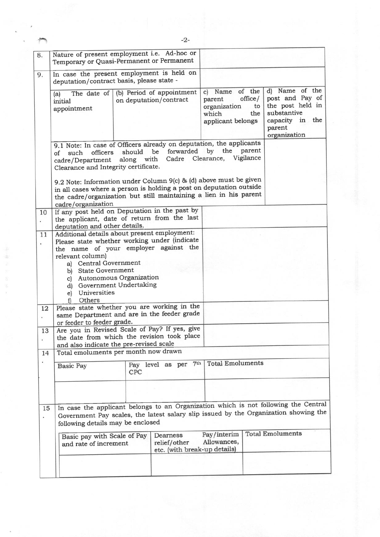| Temporary or Quasi-Permanent or Permanent                                                                                                                                                                                                                                                               |                      | Nature of present employment i.e. Ad-hoc or                 |                                                                     |                                            |                                                                                                                   |
|---------------------------------------------------------------------------------------------------------------------------------------------------------------------------------------------------------------------------------------------------------------------------------------------------------|----------------------|-------------------------------------------------------------|---------------------------------------------------------------------|--------------------------------------------|-------------------------------------------------------------------------------------------------------------------|
| In case the present employment is held on<br>deputation/contract basis, please state -                                                                                                                                                                                                                  |                      |                                                             |                                                                     |                                            |                                                                                                                   |
| The date of<br>(a)<br>initial<br>appointment                                                                                                                                                                                                                                                            |                      | (b) Period of appointment<br>on deputation/contract         | Name<br> C <br>parent<br>organization<br>which<br>applicant belongs | of the<br>$of\ddot{\text{f}}$<br>to<br>the | d) Name of the<br>post and Pay of<br>the post held in<br>substantive<br>capacity in the<br>parent<br>organization |
| 9.1 Note: In case of Officers already on deputation, the applicants<br>officers<br>such<br>of<br>cadre/Department<br>Clearance and Integrity certificate.                                                                                                                                               | should<br>along with | the parent<br>by<br>forwarded<br>Cadre Clearance, Vigilance |                                                                     |                                            |                                                                                                                   |
| 9.2 Note: Information under Column 9(c) & (d) above must be given<br>in all cases where a person is holding a post on deputation outside<br>the cadre/organization but still maintaining a lien in his parent<br>cadre/organization                                                                     |                      |                                                             |                                                                     |                                            |                                                                                                                   |
| If any post held on Deputation in the past by<br>the applicant, date of return from the last<br>deputation and other details.                                                                                                                                                                           |                      |                                                             |                                                                     |                                            |                                                                                                                   |
| Additional details about present employment:<br>Please state whether working under (indicate<br>the name of your employer against the<br>relevant column)<br>a) Central Government<br>b) State Government<br>c) Autonomous Organization<br>d) Government Undertaking<br>e) Universities<br>Others<br>fì |                      |                                                             |                                                                     |                                            |                                                                                                                   |
| Please state whether you are working in the<br>same Department and are in the feeder grade<br>or feeder to feeder grade.<br>Are you in Revised Scale of Pay? If yes, give<br>the date from which the revision took place                                                                                |                      |                                                             |                                                                     |                                            |                                                                                                                   |
| and also indicate the pre-revised scale<br>Total emoluments per month now drawn                                                                                                                                                                                                                         |                      |                                                             |                                                                     |                                            |                                                                                                                   |
| <b>Basic Pay</b>                                                                                                                                                                                                                                                                                        | CPC                  | Pay level as per 7th                                        | <b>Total Emoluments</b>                                             |                                            |                                                                                                                   |
|                                                                                                                                                                                                                                                                                                         |                      |                                                             |                                                                     |                                            |                                                                                                                   |
| In case the applicant belongs to an Organization which is not following the Central<br>15<br>Government Pay scales, the latest salary slip issued by the Organization showing the<br>following details may be enclosed                                                                                  |                      |                                                             |                                                                     |                                            |                                                                                                                   |
|                                                                                                                                                                                                                                                                                                         |                      | Dearness<br>relief/other                                    | Pay/interim<br>Allowances,                                          |                                            | <b>Total Emoluments</b>                                                                                           |
|                                                                                                                                                                                                                                                                                                         |                      | Basic pay with Scale of Pay<br>and rate of increment        |                                                                     | etc. (with break-up details)               |                                                                                                                   |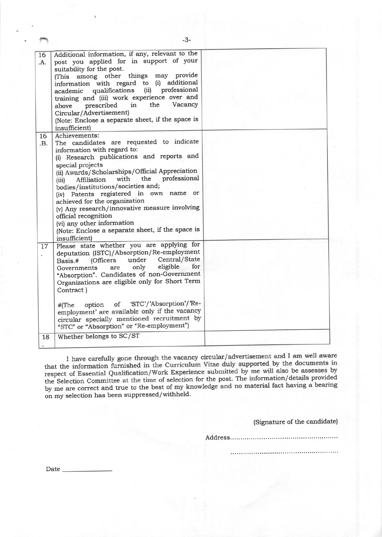| 16<br>.A.<br>16 | Additional information, if any, relevant to the<br>post you applied for in support of your<br>suitability for the post.<br>(This among other things may provide<br>information with regard to (i) additional<br>(ii) professional<br>qualifications<br>academic<br>training and (iii) work experience over and<br>the<br>Vacancy<br>in<br>prescribed<br>above<br>Circular/Advertisement)<br>(Note: Enclose a separate sheet, if the space is<br>insufficient)<br>Achievements:                                                                 |  |
|-----------------|------------------------------------------------------------------------------------------------------------------------------------------------------------------------------------------------------------------------------------------------------------------------------------------------------------------------------------------------------------------------------------------------------------------------------------------------------------------------------------------------------------------------------------------------|--|
| .B.             | The candidates are requested to indicate<br>information with regard to:<br>(i) Research publications and reports and<br>special projects<br>(ii) Awards/Scholarships/Official Appreciation<br>professional<br>the<br>with<br>Affiliation<br>(iii)<br>bodies/institutions/societies and;<br>(iv) Patents registered in own name or<br>achieved for the organization<br>(v) Any research/innovative measure involving<br>official recognition<br>(vi) any other information<br>(Note: Enclose a separate sheet, if the space is<br>insufficient) |  |
| 17              | Please state whether you are applying for<br>deputation (ISTC)/Absorption/Re-employment<br>Central/State<br>under<br>Basis.# (Officers<br>eligible<br>for<br>only<br>Governments<br>are<br>"Absorption". Candidates of non-Government<br>Organizations are eligible only for Short Term<br>Contract)                                                                                                                                                                                                                                           |  |
|                 | of 'STC'/'Absorption'/'Re-<br>option<br>$#$ (The<br>employment' are available only if the vacancy<br>circular specially mentioned recruitment by<br>"STC" or "Absorption" or "Re-employment")                                                                                                                                                                                                                                                                                                                                                  |  |
| 18              | Whether belongs to SC/ST                                                                                                                                                                                                                                                                                                                                                                                                                                                                                                                       |  |

-3-

I that the respect of Essential Qualification/work Experience submitted by the win also be assessed by<br>the Selection Committee at the time of selection for the post. The information/details provided by me are correct and true to the best of my knowledge and no material fact having a bearing on my selection has been suppressed/withheld.

(Signature of the candidate)

Address.....

Date\_